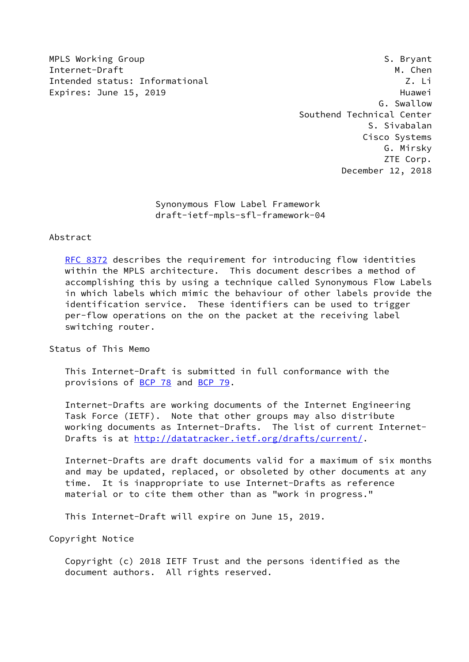MPLS Working Group **S. Bryant** S. Bryant Internet-Draft M. Chen Intended status: Informational Z. Li Expires: June 15, 2019 **Huawei** 

 G. Swallow Southend Technical Center S. Sivabalan Cisco Systems G. Mirsky ZTE Corp. December 12, 2018

 Synonymous Flow Label Framework draft-ietf-mpls-sfl-framework-04

#### Abstract

 [RFC 8372](https://datatracker.ietf.org/doc/pdf/rfc8372) describes the requirement for introducing flow identities within the MPLS architecture. This document describes a method of accomplishing this by using a technique called Synonymous Flow Labels in which labels which mimic the behaviour of other labels provide the identification service. These identifiers can be used to trigger per-flow operations on the on the packet at the receiving label switching router.

Status of This Memo

 This Internet-Draft is submitted in full conformance with the provisions of [BCP 78](https://datatracker.ietf.org/doc/pdf/bcp78) and [BCP 79](https://datatracker.ietf.org/doc/pdf/bcp79).

 Internet-Drafts are working documents of the Internet Engineering Task Force (IETF). Note that other groups may also distribute working documents as Internet-Drafts. The list of current Internet- Drafts is at<http://datatracker.ietf.org/drafts/current/>.

 Internet-Drafts are draft documents valid for a maximum of six months and may be updated, replaced, or obsoleted by other documents at any time. It is inappropriate to use Internet-Drafts as reference material or to cite them other than as "work in progress."

This Internet-Draft will expire on June 15, 2019.

Copyright Notice

 Copyright (c) 2018 IETF Trust and the persons identified as the document authors. All rights reserved.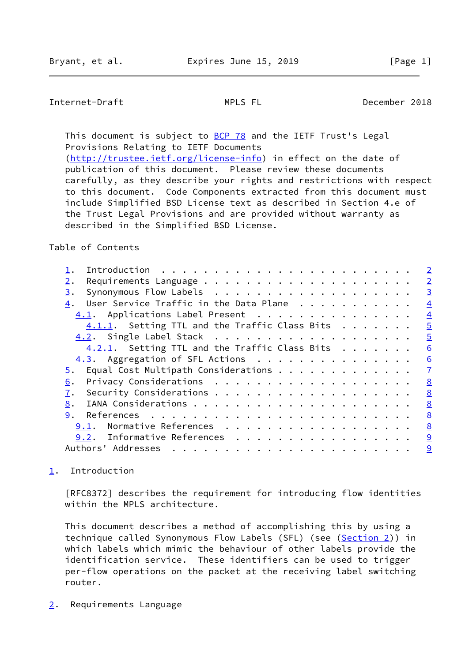### <span id="page-1-1"></span>Internet-Draft MPLS FL December 2018

This document is subject to **[BCP 78](https://datatracker.ietf.org/doc/pdf/bcp78)** and the IETF Trust's Legal Provisions Relating to IETF Documents [\(http://trustee.ietf.org/license-info](http://trustee.ietf.org/license-info)) in effect on the date of publication of this document. Please review these documents carefully, as they describe your rights and restrictions with respect

 to this document. Code Components extracted from this document must include Simplified BSD License text as described in Section 4.e of the Trust Legal Provisions and are provided without warranty as described in the Simplified BSD License.

### Table of Contents

|                    | $\overline{2}$                                                                                                                                                                                                                                                                                                                                                                                                                                                                                                                                                                                                                                                                                                                                                                                                                             |
|--------------------|--------------------------------------------------------------------------------------------------------------------------------------------------------------------------------------------------------------------------------------------------------------------------------------------------------------------------------------------------------------------------------------------------------------------------------------------------------------------------------------------------------------------------------------------------------------------------------------------------------------------------------------------------------------------------------------------------------------------------------------------------------------------------------------------------------------------------------------------|
| $2$ .              | $\overline{2}$                                                                                                                                                                                                                                                                                                                                                                                                                                                                                                                                                                                                                                                                                                                                                                                                                             |
| З.                 | $\overline{3}$                                                                                                                                                                                                                                                                                                                                                                                                                                                                                                                                                                                                                                                                                                                                                                                                                             |
| 4.                 | $\overline{4}$                                                                                                                                                                                                                                                                                                                                                                                                                                                                                                                                                                                                                                                                                                                                                                                                                             |
|                    | $\overline{4}$                                                                                                                                                                                                                                                                                                                                                                                                                                                                                                                                                                                                                                                                                                                                                                                                                             |
|                    | $\overline{5}$                                                                                                                                                                                                                                                                                                                                                                                                                                                                                                                                                                                                                                                                                                                                                                                                                             |
|                    | $\overline{5}$                                                                                                                                                                                                                                                                                                                                                                                                                                                                                                                                                                                                                                                                                                                                                                                                                             |
|                    | 6                                                                                                                                                                                                                                                                                                                                                                                                                                                                                                                                                                                                                                                                                                                                                                                                                                          |
|                    | 6                                                                                                                                                                                                                                                                                                                                                                                                                                                                                                                                                                                                                                                                                                                                                                                                                                          |
| 5.                 | $\overline{1}$                                                                                                                                                                                                                                                                                                                                                                                                                                                                                                                                                                                                                                                                                                                                                                                                                             |
| 6.                 | 8                                                                                                                                                                                                                                                                                                                                                                                                                                                                                                                                                                                                                                                                                                                                                                                                                                          |
| 7.                 | 8                                                                                                                                                                                                                                                                                                                                                                                                                                                                                                                                                                                                                                                                                                                                                                                                                                          |
| 8.                 | 8                                                                                                                                                                                                                                                                                                                                                                                                                                                                                                                                                                                                                                                                                                                                                                                                                                          |
| 9.                 | 8                                                                                                                                                                                                                                                                                                                                                                                                                                                                                                                                                                                                                                                                                                                                                                                                                                          |
| 9.1.               | 8                                                                                                                                                                                                                                                                                                                                                                                                                                                                                                                                                                                                                                                                                                                                                                                                                                          |
|                    | 9                                                                                                                                                                                                                                                                                                                                                                                                                                                                                                                                                                                                                                                                                                                                                                                                                                          |
| Authors' Addresses | 9                                                                                                                                                                                                                                                                                                                                                                                                                                                                                                                                                                                                                                                                                                                                                                                                                                          |
|                    | Introduction $\cdots \cdots \cdots \cdots$<br>User Service Traffic in the Data Plane<br>4.1. Applications Label Present<br>$4.1.1.$ Setting TTL and the Traffic Class Bits<br>$4.2.1$ . Setting TTL and the Traffic Class Bits<br>4.3. Aggregation of SFL Actions<br>Equal Cost Multipath Considerations<br>Normative References<br>9.2. Informative References<br>$\mathcal{L}^{(1)}\left(\mathcal{L}^{(1)}\left(\mathcal{L}^{(1)}\left(\mathcal{L}^{(1)}\left(\mathcal{L}^{(1)}\left(\mathcal{L}^{(1)}\left(\mathcal{L}^{(1)}\left(\mathcal{L}^{(1)}\left(\mathcal{L}^{(1)}\left(\mathcal{L}^{(1)}\left(\mathcal{L}^{(1)}\left(\mathcal{L}^{(1)}\left(\mathcal{L}^{(1)}\right)\right)\right)\right)\right)\right)\right)\right)\right)\right)\right)\mathcal{L}^{(1)}\left(\mathcal{L}^{(1)}\left(\mathcal{L}^{(1)}\left(\mathcal{L}^{($ |

# <span id="page-1-0"></span>[1](#page-1-0). Introduction

 [RFC8372] describes the requirement for introducing flow identities within the MPLS architecture.

 This document describes a method of accomplishing this by using a technique called Synonymous Flow Labels (SFL) (see ([Section 2\)](#page-1-2)) in which labels which mimic the behaviour of other labels provide the identification service. These identifiers can be used to trigger per-flow operations on the packet at the receiving label switching router.

<span id="page-1-2"></span>[2](#page-1-2). Requirements Language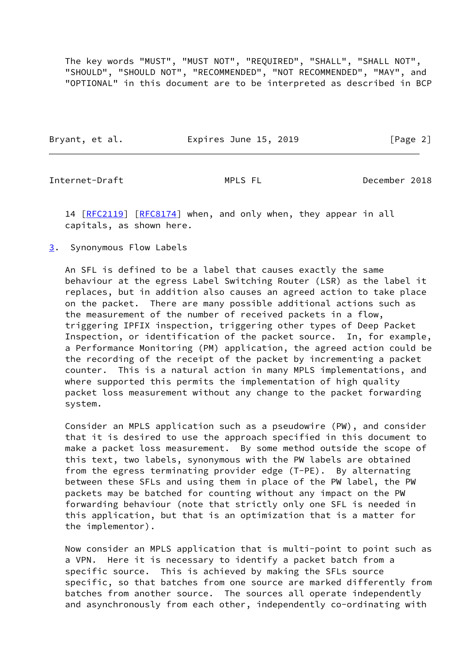The key words "MUST", "MUST NOT", "REQUIRED", "SHALL", "SHALL NOT", "SHOULD", "SHOULD NOT", "RECOMMENDED", "NOT RECOMMENDED", "MAY", and "OPTIONAL" in this document are to be interpreted as described in BCP

|  | Bryant, et al. | Expires June 15, 2019 | [Page 2] |
|--|----------------|-----------------------|----------|
|--|----------------|-----------------------|----------|

<span id="page-2-1"></span>Internet-Draft MPLS FL December 2018

14 [[RFC2119\]](https://datatracker.ietf.org/doc/pdf/rfc2119) [\[RFC8174](https://datatracker.ietf.org/doc/pdf/rfc8174)] when, and only when, they appear in all capitals, as shown here.

<span id="page-2-0"></span>[3](#page-2-0). Synonymous Flow Labels

 An SFL is defined to be a label that causes exactly the same behaviour at the egress Label Switching Router (LSR) as the label it replaces, but in addition also causes an agreed action to take place on the packet. There are many possible additional actions such as the measurement of the number of received packets in a flow, triggering IPFIX inspection, triggering other types of Deep Packet Inspection, or identification of the packet source. In, for example, a Performance Monitoring (PM) application, the agreed action could be the recording of the receipt of the packet by incrementing a packet counter. This is a natural action in many MPLS implementations, and where supported this permits the implementation of high quality packet loss measurement without any change to the packet forwarding system.

 Consider an MPLS application such as a pseudowire (PW), and consider that it is desired to use the approach specified in this document to make a packet loss measurement. By some method outside the scope of this text, two labels, synonymous with the PW labels are obtained from the egress terminating provider edge (T-PE). By alternating between these SFLs and using them in place of the PW label, the PW packets may be batched for counting without any impact on the PW forwarding behaviour (note that strictly only one SFL is needed in this application, but that is an optimization that is a matter for the implementor).

 Now consider an MPLS application that is multi-point to point such as a VPN. Here it is necessary to identify a packet batch from a specific source. This is achieved by making the SFLs source specific, so that batches from one source are marked differently from batches from another source. The sources all operate independently and asynchronously from each other, independently co-ordinating with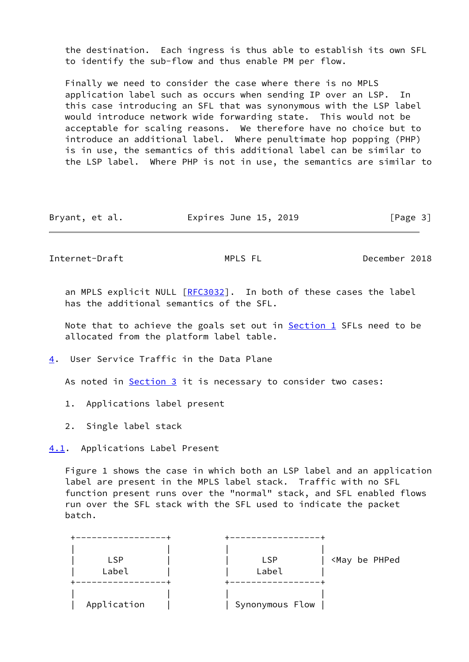the destination. Each ingress is thus able to establish its own SFL to identify the sub-flow and thus enable PM per flow.

 Finally we need to consider the case where there is no MPLS application label such as occurs when sending IP over an LSP. In this case introducing an SFL that was synonymous with the LSP label would introduce network wide forwarding state. This would not be acceptable for scaling reasons. We therefore have no choice but to introduce an additional label. Where penultimate hop popping (PHP) is in use, the semantics of this additional label can be similar to the LSP label. Where PHP is not in use, the semantics are similar to

Bryant, et al. **Expires June 15, 2019** [Page 3]

<span id="page-3-1"></span>Internet-Draft MPLS FL December 2018

an MPLS explicit NULL [[RFC3032](https://datatracker.ietf.org/doc/pdf/rfc3032)]. In both of these cases the label has the additional semantics of the SFL.

Note that to achieve the goals set out in  $Section 1$  SFLs need to be allocated from the platform label table.

<span id="page-3-0"></span>[4](#page-3-0). User Service Traffic in the Data Plane

As noted in **Section 3** it is necessary to consider two cases:

- 1. Applications label present
- 2. Single label stack

<span id="page-3-2"></span>[4.1](#page-3-2). Applications Label Present

 Figure 1 shows the case in which both an LSP label and an application label are present in the MPLS label stack. Traffic with no SFL function present runs over the "normal" stack, and SFL enabled flows run over the SFL stack with the SFL used to indicate the packet batch.

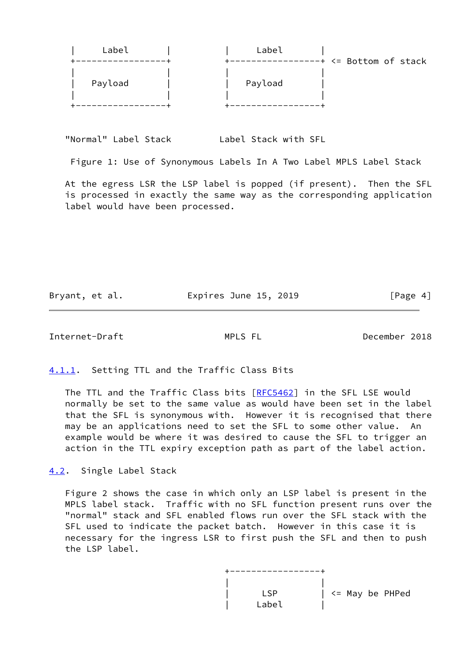| Label   | Label   |                       |
|---------|---------|-----------------------|
|         |         | -+ <= Bottom of stack |
| Payload | Payload |                       |
|         |         |                       |

"Normal" Label Stack Label Stack with SFL

Figure 1: Use of Synonymous Labels In A Two Label MPLS Label Stack

 At the egress LSR the LSP label is popped (if present). Then the SFL is processed in exactly the same way as the corresponding application label would have been processed.

Bryant, et al. **Expires June 15, 2019** [Page 4]

<span id="page-4-1"></span>Internet-Draft MPLS FL December 2018

<span id="page-4-0"></span>[4.1.1](#page-4-0). Setting TTL and the Traffic Class Bits

The TTL and the Traffic Class bits [[RFC5462\]](https://datatracker.ietf.org/doc/pdf/rfc5462) in the SFL LSE would normally be set to the same value as would have been set in the label that the SFL is synonymous with. However it is recognised that there may be an applications need to set the SFL to some other value. An example would be where it was desired to cause the SFL to trigger an action in the TTL expiry exception path as part of the label action.

<span id="page-4-2"></span>[4.2](#page-4-2). Single Label Stack

 Figure 2 shows the case in which only an LSP label is present in the MPLS label stack. Traffic with no SFL function present runs over the "normal" stack and SFL enabled flows run over the SFL stack with the SFL used to indicate the packet batch. However in this case it is necessary for the ingress LSR to first push the SFL and then to push the LSP label.

 +-----------------+ | | | LSP | <= May be PHPed  $\vert$  Label  $\vert$  Label  $\vert$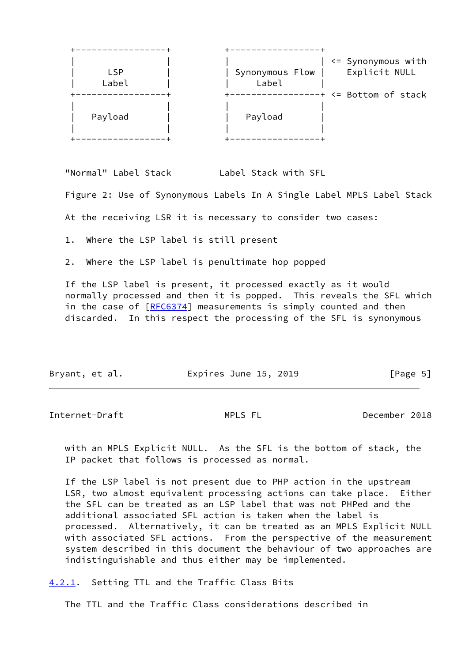| <b>LSP</b><br>Label | $\leq$ Synonymous with<br>Explicit NULL<br>Synonymous Flow  <br>Label |
|---------------------|-----------------------------------------------------------------------|
| Payload             | -+ <= Bottom of stack<br>Payload                                      |

"Normal" Label Stack Label Stack with SFL

Figure 2: Use of Synonymous Labels In A Single Label MPLS Label Stack

At the receiving LSR it is necessary to consider two cases:

1. Where the LSP label is still present

2. Where the LSP label is penultimate hop popped

 If the LSP label is present, it processed exactly as it would normally processed and then it is popped. This reveals the SFL which in the case of [\[RFC6374](https://datatracker.ietf.org/doc/pdf/rfc6374)] measurements is simply counted and then discarded. In this respect the processing of the SFL is synonymous

| Bryant, et al. | Expires June 15, 2019 | [Page 5] |
|----------------|-----------------------|----------|
|                |                       |          |

<span id="page-5-1"></span>Internet-Draft MPLS FL December 2018

 with an MPLS Explicit NULL. As the SFL is the bottom of stack, the IP packet that follows is processed as normal.

 If the LSP label is not present due to PHP action in the upstream LSR, two almost equivalent processing actions can take place. Either the SFL can be treated as an LSP label that was not PHPed and the additional associated SFL action is taken when the label is processed. Alternatively, it can be treated as an MPLS Explicit NULL with associated SFL actions. From the perspective of the measurement system described in this document the behaviour of two approaches are indistinguishable and thus either may be implemented.

<span id="page-5-0"></span>[4.2.1](#page-5-0). Setting TTL and the Traffic Class Bits

The TTL and the Traffic Class considerations described in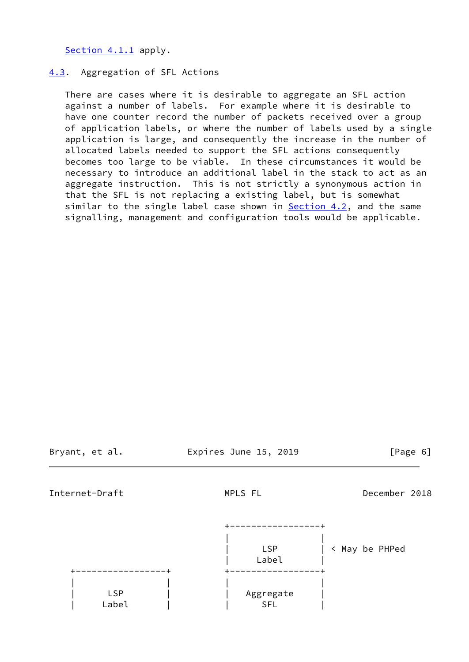[Section 4.1.1](#page-4-0) apply.

### <span id="page-6-0"></span>[4.3](#page-6-0). Aggregation of SFL Actions

 There are cases where it is desirable to aggregate an SFL action against a number of labels. For example where it is desirable to have one counter record the number of packets received over a group of application labels, or where the number of labels used by a single application is large, and consequently the increase in the number of allocated labels needed to support the SFL actions consequently becomes too large to be viable. In these circumstances it would be necessary to introduce an additional label in the stack to act as an aggregate instruction. This is not strictly a synonymous action in that the SFL is not replacing a existing label, but is somewhat similar to the single label case shown in **Section 4.2**, and the same signalling, management and configuration tools would be applicable.

Bryant, et al. Expires June 15, 2019 [Page 6]

<span id="page-6-1"></span>Internet-Draft MPLS FL December 2018

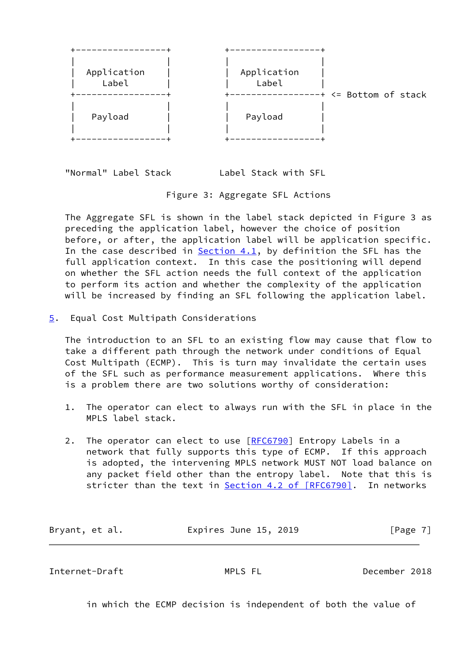

"Normal" Label Stack Label Stack with SFL

# Figure 3: Aggregate SFL Actions

 The Aggregate SFL is shown in the label stack depicted in Figure 3 as preceding the application label, however the choice of position before, or after, the application label will be application specific. In the case described in [Section 4.1](#page-3-2), by definition the SFL has the full application context. In this case the positioning will depend on whether the SFL action needs the full context of the application to perform its action and whether the complexity of the application will be increased by finding an SFL following the application label.

<span id="page-7-0"></span>[5](#page-7-0). Equal Cost Multipath Considerations

 The introduction to an SFL to an existing flow may cause that flow to take a different path through the network under conditions of Equal Cost Multipath (ECMP). This is turn may invalidate the certain uses of the SFL such as performance measurement applications. Where this is a problem there are two solutions worthy of consideration:

- 1. The operator can elect to always run with the SFL in place in the MPLS label stack.
- 2. The operator can elect to use [[RFC6790](https://datatracker.ietf.org/doc/pdf/rfc6790)] Entropy Labels in a network that fully supports this type of ECMP. If this approach is adopted, the intervening MPLS network MUST NOT load balance on any packet field other than the entropy label. Note that this is stricter than the text in **Section [4.2 of \[RFC6790\]](https://datatracker.ietf.org/doc/pdf/rfc6790#section-4.2)**. In networks

| Bryant, et al. | Expires June 15, 2019 | [Page 7] |
|----------------|-----------------------|----------|
|----------------|-----------------------|----------|

<span id="page-7-1"></span>Internet-Draft MPLS FL December 2018

in which the ECMP decision is independent of both the value of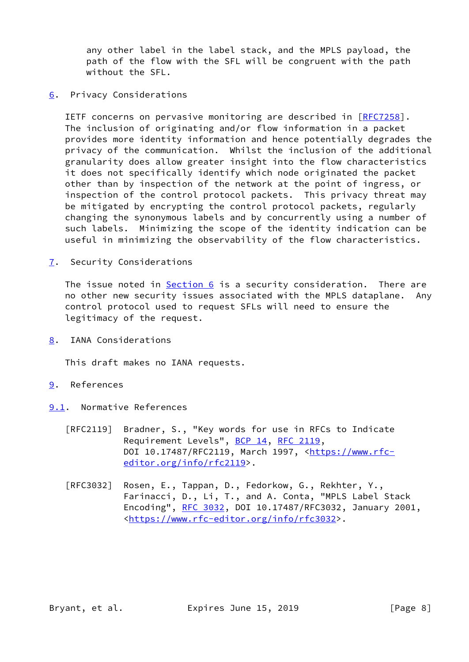any other label in the label stack, and the MPLS payload, the path of the flow with the SFL will be congruent with the path without the SFL.

<span id="page-8-0"></span>[6](#page-8-0). Privacy Considerations

 IETF concerns on pervasive monitoring are described in [\[RFC7258](https://datatracker.ietf.org/doc/pdf/rfc7258)]. The inclusion of originating and/or flow information in a packet provides more identity information and hence potentially degrades the privacy of the communication. Whilst the inclusion of the additional granularity does allow greater insight into the flow characteristics it does not specifically identify which node originated the packet other than by inspection of the network at the point of ingress, or inspection of the control protocol packets. This privacy threat may be mitigated by encrypting the control protocol packets, regularly changing the synonymous labels and by concurrently using a number of such labels. Minimizing the scope of the identity indication can be useful in minimizing the observability of the flow characteristics.

<span id="page-8-1"></span>[7](#page-8-1). Security Considerations

The issue noted in [Section 6](#page-8-0) is a security consideration. There are no other new security issues associated with the MPLS dataplane. Any control protocol used to request SFLs will need to ensure the legitimacy of the request.

<span id="page-8-2"></span>[8](#page-8-2). IANA Considerations

This draft makes no IANA requests.

- <span id="page-8-3"></span>[9](#page-8-3). References
- <span id="page-8-4"></span>[9.1](#page-8-4). Normative References
	- [RFC2119] Bradner, S., "Key words for use in RFCs to Indicate Requirement Levels", [BCP 14](https://datatracker.ietf.org/doc/pdf/bcp14), [RFC 2119](https://datatracker.ietf.org/doc/pdf/rfc2119), DOI 10.17487/RFC2119, March 1997, [<https://www.rfc](https://www.rfc-editor.org/info/rfc2119) [editor.org/info/rfc2119](https://www.rfc-editor.org/info/rfc2119)>.
	- [RFC3032] Rosen, E., Tappan, D., Fedorkow, G., Rekhter, Y., Farinacci, D., Li, T., and A. Conta, "MPLS Label Stack Encoding", [RFC 3032](https://datatracker.ietf.org/doc/pdf/rfc3032), DOI 10.17487/RFC3032, January 2001, <[https://www.rfc-editor.org/info/rfc3032>](https://www.rfc-editor.org/info/rfc3032).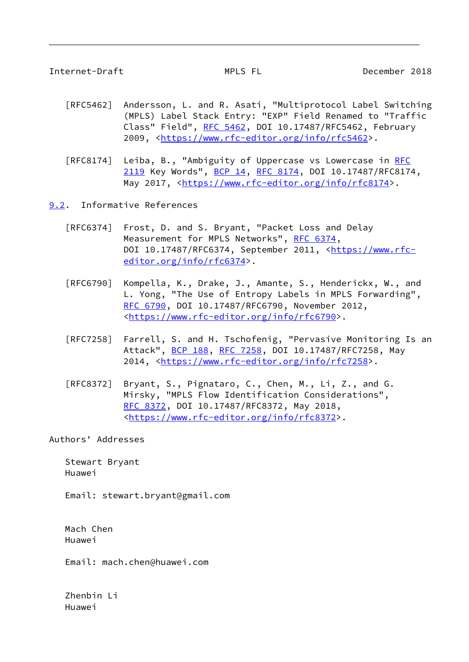- <span id="page-9-1"></span> [RFC5462] Andersson, L. and R. Asati, "Multiprotocol Label Switching (MPLS) Label Stack Entry: "EXP" Field Renamed to "Traffic Class" Field", [RFC 5462](https://datatracker.ietf.org/doc/pdf/rfc5462), DOI 10.17487/RFC5462, February 2009, [<https://www.rfc-editor.org/info/rfc5462](https://www.rfc-editor.org/info/rfc5462)>.
- [RFC8174] Leiba, B., "Ambiguity of Uppercase vs Lowercase in [RFC](https://datatracker.ietf.org/doc/pdf/rfc2119) [2119](https://datatracker.ietf.org/doc/pdf/rfc2119) Key Words", [BCP 14](https://datatracker.ietf.org/doc/pdf/bcp14), [RFC 8174,](https://datatracker.ietf.org/doc/pdf/rfc8174) DOI 10.17487/RFC8174, May 2017, [<https://www.rfc-editor.org/info/rfc8174](https://www.rfc-editor.org/info/rfc8174)>.
- <span id="page-9-0"></span>[9.2](#page-9-0). Informative References
	- [RFC6374] Frost, D. and S. Bryant, "Packet Loss and Delay Measurement for MPLS Networks", [RFC 6374,](https://datatracker.ietf.org/doc/pdf/rfc6374) DOI 10.17487/RFC6374, September 2011, [<https://www.rfc](https://www.rfc-editor.org/info/rfc6374) [editor.org/info/rfc6374](https://www.rfc-editor.org/info/rfc6374)>.
	- [RFC6790] Kompella, K., Drake, J., Amante, S., Henderickx, W., and L. Yong, "The Use of Entropy Labels in MPLS Forwarding", [RFC 6790,](https://datatracker.ietf.org/doc/pdf/rfc6790) DOI 10.17487/RFC6790, November 2012, <[https://www.rfc-editor.org/info/rfc6790>](https://www.rfc-editor.org/info/rfc6790).
	- [RFC7258] Farrell, S. and H. Tschofenig, "Pervasive Monitoring Is an Attack", [BCP 188,](https://datatracker.ietf.org/doc/pdf/bcp188) [RFC 7258](https://datatracker.ietf.org/doc/pdf/rfc7258), DOI 10.17487/RFC7258, May 2014, [<https://www.rfc-editor.org/info/rfc7258](https://www.rfc-editor.org/info/rfc7258)>.
	- [RFC8372] Bryant, S., Pignataro, C., Chen, M., Li, Z., and G. Mirsky, "MPLS Flow Identification Considerations", [RFC 8372,](https://datatracker.ietf.org/doc/pdf/rfc8372) DOI 10.17487/RFC8372, May 2018, <[https://www.rfc-editor.org/info/rfc8372>](https://www.rfc-editor.org/info/rfc8372).

Authors' Addresses

 Stewart Bryant Huawei

Email: stewart.bryant@gmail.com

 Mach Chen Huawei

Email: mach.chen@huawei.com

 Zhenbin Li Huawei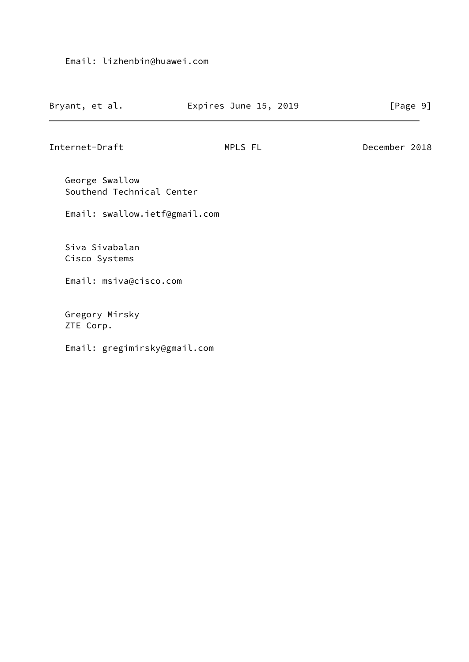| Bryant, et al.<br>Expires June 15, 2019 | [Page 9] |
|-----------------------------------------|----------|
|-----------------------------------------|----------|

Internet-Draft MPLS FL December 2018

 George Swallow Southend Technical Center

Email: swallow.ietf@gmail.com

 Siva Sivabalan Cisco Systems

Email: msiva@cisco.com

 Gregory Mirsky ZTE Corp.

Email: gregimirsky@gmail.com